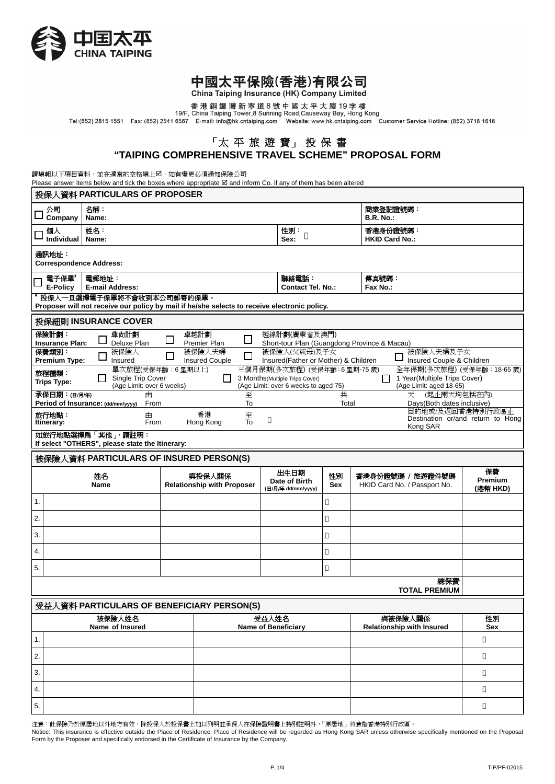

# 中國太平保險(香港)有限公司<br>China Taiping Insurance (HK) Company Limited

other the pring the statemed (1997) of the party of the product of the product of the product of the secure of<br>香港銅鑼灣新寧道8號中國太平大廈19字樓<br>Tel:(852) 2815 1551 Fax: (852) 2541 6567 E-mail: info@hk.cntaiping.com Website: www.hk.c

# 「太 平 旅 遊 寶」 投 保 書

**"TAIPING COMPREHENSIVE TRAVEL SCHEME" PROPOSAL FORM**

請填報以下項目資料,並在適當的空格填上2,如有變更必須通知保險公司

Please answer items below and tick the boxes where appropriate  $\boxtimes$  and inform Co. if any of them has been altered

| 投保人資料 PARTICULARS OF PROPOSER                                                                                                                                                                                                                                                                              |                                                                                                                                                                                            |                                            |   |                                             |                                                              |                  |                                                  |                                  |  |  |
|------------------------------------------------------------------------------------------------------------------------------------------------------------------------------------------------------------------------------------------------------------------------------------------------------------|--------------------------------------------------------------------------------------------------------------------------------------------------------------------------------------------|--------------------------------------------|---|---------------------------------------------|--------------------------------------------------------------|------------------|--------------------------------------------------|----------------------------------|--|--|
|                                                                                                                                                                                                                                                                                                            | 公司<br>名稱:<br>Company<br>Name:                                                                                                                                                              |                                            |   |                                             |                                                              |                  | 商業登記證號碼:<br><b>B.R. No.:</b>                     |                                  |  |  |
|                                                                                                                                                                                                                                                                                                            | 姓名:<br>個人<br>Individual<br>Name:                                                                                                                                                           |                                            |   |                                             |                                                              |                  | 香港身份證號碼:<br><b>HKID Card No.:</b>                |                                  |  |  |
|                                                                                                                                                                                                                                                                                                            | 通訊地址:<br><b>Correspondence Address:</b>                                                                                                                                                    |                                            |   |                                             |                                                              |                  |                                                  |                                  |  |  |
|                                                                                                                                                                                                                                                                                                            | 電子保單"<br><b>E-Policy</b>                                                                                                                                                                   | 電郵地址:<br><b>E-mail Address:</b>            |   |                                             | 聯絡電話:<br><b>Contact Tel. No.:</b>                            |                  | 傳真號碼:<br>Fax No.:                                |                                  |  |  |
|                                                                                                                                                                                                                                                                                                            | 投保人一旦選擇電子保單將不會收到本公司郵寄的保單。<br>Proposer will not receive our policy by mail if he/she selects to receive electronic policy.                                                                  |                                            |   |                                             |                                                              |                  |                                                  |                                  |  |  |
|                                                                                                                                                                                                                                                                                                            |                                                                                                                                                                                            | 投保細則 INSURANCE COVER                       |   |                                             |                                                              |                  |                                                  |                                  |  |  |
|                                                                                                                                                                                                                                                                                                            | 保險計劃:<br><b>Insurance Plan:</b>                                                                                                                                                            | 尊尚計劃<br>Deluxe Plan                        | ⊔ | 卓越計劃<br>□<br>Premier Plan                   | 短線計劃(廣東省及澳門)<br>Short-tour Plan (Guangdong Province & Macau) |                  |                                                  |                                  |  |  |
|                                                                                                                                                                                                                                                                                                            | 保費類別:<br>被保險人(父或母)及子女<br>被保險人<br>被保險人夫婦<br>被保險人夫婦及子女<br>□<br>Insured Couple & Children<br><b>Premium Type:</b><br><b>Insured Couple</b><br>Insured(Father or Mother) & Children<br>Insured |                                            |   |                                             |                                                              |                  |                                                  |                                  |  |  |
| 三個月保期(多次旅程) (受保年齡: 6星期-75歲)<br>單次旅程(受保年齡:6星期以上)<br>全年保期(多次旅程) (受保年齡: 18-65 歲)<br>旅程種類:<br>Single Trip Cover<br>3 Months (Multiple Trips Cover)<br>1 Year(Multiple Trips Cover)<br>ΓI<br><b>Trips Type:</b><br>(Age Limit: over 6 weeks)<br>(Age Limit: over 6 weeks to aged 75)<br>(Age Limit: aged 18-65) |                                                                                                                                                                                            |                                            |   |                                             |                                                              |                  |                                                  |                                  |  |  |
|                                                                                                                                                                                                                                                                                                            | (起止兩天均包括在內)<br>承保日期:(日/月年)<br>共<br>由<br>至<br>天<br>To<br>From<br>Period of Insurance: (dd/mm/yyyy)<br>Total<br>Davs (Both dates inclusive)                                                  |                                            |   |                                             |                                                              |                  |                                                  |                                  |  |  |
| 目的地或/及返回香港特別行政區止<br>香港<br>至<br>旅行地點:<br>由<br>Destination or/and return to Hong<br>To<br>Hong Kong<br>Itinerary:<br>From<br>Kong SAR                                                                                                                                                                        |                                                                                                                                                                                            |                                            |   |                                             |                                                              |                  |                                                  |                                  |  |  |
|                                                                                                                                                                                                                                                                                                            | 如旅行地點選擇為「其他」,請註明:<br>If select "OTHERS", please state the Itinerary:                                                                                                                       |                                            |   |                                             |                                                              |                  |                                                  |                                  |  |  |
| 被保險人資料 PARTICULARS OF INSURED PERSON(S)                                                                                                                                                                                                                                                                    |                                                                                                                                                                                            |                                            |   |                                             |                                                              |                  |                                                  |                                  |  |  |
|                                                                                                                                                                                                                                                                                                            |                                                                                                                                                                                            |                                            |   |                                             |                                                              |                  |                                                  |                                  |  |  |
|                                                                                                                                                                                                                                                                                                            |                                                                                                                                                                                            | 姓名<br><b>Name</b>                          |   | 與投保人關係<br><b>Relationship with Proposer</b> | 出生日期<br>Date of Birth<br>(日/月/年 dd/mm/yyyy)                  | 性別<br><b>Sex</b> | 香港身份證號碼 / 旅遊證件號碼<br>HKID Card No. / Passport No. | 保費<br><b>Premium</b><br>(港幣 HKD) |  |  |
| 1.                                                                                                                                                                                                                                                                                                         |                                                                                                                                                                                            |                                            |   |                                             |                                                              |                  |                                                  |                                  |  |  |
| 2.                                                                                                                                                                                                                                                                                                         |                                                                                                                                                                                            |                                            |   |                                             |                                                              |                  |                                                  |                                  |  |  |
| 3.                                                                                                                                                                                                                                                                                                         |                                                                                                                                                                                            |                                            |   |                                             |                                                              |                  |                                                  |                                  |  |  |
| 4.                                                                                                                                                                                                                                                                                                         |                                                                                                                                                                                            |                                            |   |                                             |                                                              |                  |                                                  |                                  |  |  |
| 5.                                                                                                                                                                                                                                                                                                         |                                                                                                                                                                                            |                                            |   |                                             |                                                              |                  |                                                  |                                  |  |  |
|                                                                                                                                                                                                                                                                                                            |                                                                                                                                                                                            |                                            |   |                                             |                                                              |                  | 總保費<br><b>TOTAL PREMIUM</b>                      |                                  |  |  |
|                                                                                                                                                                                                                                                                                                            |                                                                                                                                                                                            | 受益人資料 PARTICULARS OF BENEFICIARY PERSON(S) |   |                                             |                                                              |                  |                                                  |                                  |  |  |
|                                                                                                                                                                                                                                                                                                            |                                                                                                                                                                                            | 被保險人姓名<br>Name of Insured                  |   |                                             | 受益人姓名<br><b>Name of Beneficiary</b>                          |                  | 與被保險人關係<br><b>Relationship with Insured</b>      | 性別<br>Sex                        |  |  |
| 1.                                                                                                                                                                                                                                                                                                         |                                                                                                                                                                                            |                                            |   |                                             |                                                              |                  |                                                  |                                  |  |  |
| 2.                                                                                                                                                                                                                                                                                                         |                                                                                                                                                                                            |                                            |   |                                             |                                                              |                  |                                                  |                                  |  |  |
| 3.                                                                                                                                                                                                                                                                                                         |                                                                                                                                                                                            |                                            |   |                                             |                                                              |                  |                                                  |                                  |  |  |
| 4.                                                                                                                                                                                                                                                                                                         |                                                                                                                                                                                            |                                            |   |                                             |                                                              |                  |                                                  |                                  |  |  |

注意:此保險乃於原居地以外地方有效,除投保人於投保書上加以列明並承保人在保險證明書上特別註明外,「原居地」將意指香港特別行政區。

Notice: This insurance is effective outside the Place of Residence. Place of Residence will be regarded as Hong Kong SAR unless otherwise specifically mentioned on the Proposal Form by the Proposer and specifically endorsed in the Certificate of Insurance by the Company.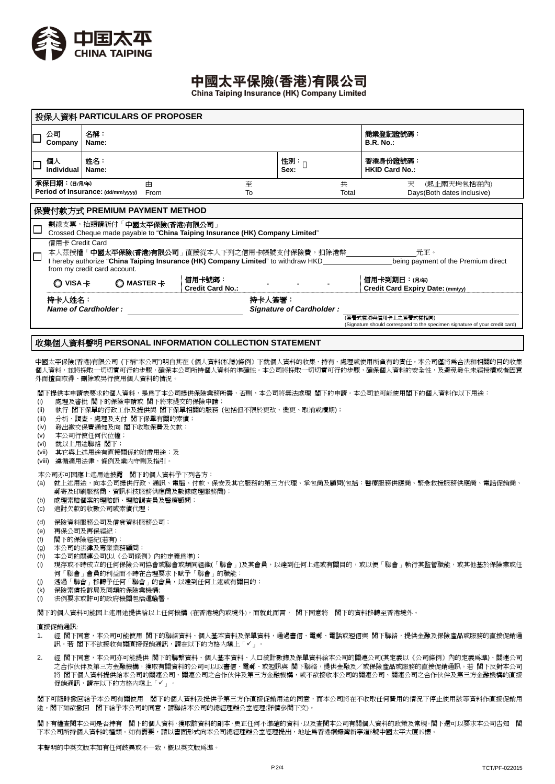

## 中國太平保險(香港)有限公司

China Taiping Insurance (HK) Company Limited

| 投保人資料 PARTICULARS OF PROPOSER                     |                                                                                                                                                                                                                                               |                                   |                          |                                                               |                                                                                                    |  |  |  |  |
|---------------------------------------------------|-----------------------------------------------------------------------------------------------------------------------------------------------------------------------------------------------------------------------------------------------|-----------------------------------|--------------------------|---------------------------------------------------------------|----------------------------------------------------------------------------------------------------|--|--|--|--|
| 公司<br>Company                                     | 名稱:<br>Name:                                                                                                                                                                                                                                  |                                   |                          |                                                               | 商業登記證號碼:<br><b>B.R. No.:</b>                                                                       |  |  |  |  |
| 個人<br>Individual                                  | 姓名:<br>Name:                                                                                                                                                                                                                                  |                                   | 性別:<br>Sex:              |                                                               | 香港身份證號碼:<br><b>HKID Card No.:</b>                                                                  |  |  |  |  |
| 承保日期:(日/月/年)<br>Period of Insurance: (dd/mm/yyyy) | 由<br>From                                                                                                                                                                                                                                     | 至<br>To                           |                          | 共<br>(起止兩天均包括在內)<br>天<br>Days (Both dates inclusive)<br>Total |                                                                                                    |  |  |  |  |
| 保費付款方式 PREMIUM PAYMENT METHOD                     |                                                                                                                                                                                                                                               |                                   |                          |                                                               |                                                                                                    |  |  |  |  |
|                                                   | 劃線支票,抬頭請祈付「 <b>中國太平保險(香港)有限公司</b> 」<br>Crossed Cheque made payable to "China Taiping Insurance (HK) Company Limited"                                                                                                                          |                                   |                          |                                                               |                                                                                                    |  |  |  |  |
| $\Box$                                            | 信用卡 Credit Card<br>本人茲授權 ' <b>中國太平保險(香港)有限公司</b> 」 直接從本人下列之信用卡帳號支付保險費,扣除港幣<br>元正。<br>I hereby authorize "China Taiping Insurance (HK) Company Limited" to withdraw HKD<br>being payment of the Premium direct<br>from my credit card account. |                                   |                          |                                                               |                                                                                                    |  |  |  |  |
| VISA $\pm$                                        | $\bigcirc$ MASTER $\pm$                                                                                                                                                                                                                       | 信用卡號碼:<br><b>Credit Card No.:</b> |                          |                                                               | 信用卡到期日:(月/年)<br>Credit Card Expiry Date: (mm/yy)                                                   |  |  |  |  |
| 持卡人姓名:<br>Name of Cardholder:                     |                                                                                                                                                                                                                                               | 持卡人簽署:                            | Signature of Cardholder: |                                                               |                                                                                                    |  |  |  |  |
|                                                   |                                                                                                                                                                                                                                               |                                   |                          |                                                               | (簽署式樣須與信用卡上之簽署式樣相同)<br>(Signature should correspond to the specimen signature of your credit card) |  |  |  |  |

### 收集個人資料聲明 **PERSONAL INFORMATION COLLECTION STATEMENT**

中國太平保險(香港)有限公司 (下稱"本公司")明白其在《個人資料(私隱)條例》下就個人資料的收集、持有、處理或使用所負有的責任。本公司僅將為合法和相關的目的收集 個人資料,並將採取一切切實可行的步驟,確保本公司所持個人資料的準確性。本公司將採取一切切實可行的步驟,確保個人資料的安全性,及避免發生未經授權或者因意 外而擅自取得、刪除或另行使用個人資料的情況

閣下提供本申請表要求的個人資料,是為了本公司提供保險業務所需,否則,本公司將無法處理 閣下的申請。本公司並可能使用閣下的個人資料作以下用途:

- (i) 處理及審批 閣下的保險申請或 閣下將來提交的保險申請;
- (ii) 執行 閣下保單的行政工作及提供與 閣下保單相關的服務 (包括但不限於更改、變更、取消或續期);
- (iii) 分析、調查、處理及支付 閣下保單有關的索償;
- (iv) 發出繳交保費通知及向 閣下收取保費及欠款;
- (v) 本公司行使任何代位權;
- (vi) 就以上用途聯絡 閣下;
- (vii) 其它與上述用途有直接關係的附帶用途;及
- (viii) 遵循適用法律,條例及業内守則及指引。

本公司亦可因應上述用途披露 閣下的個人資料予下列各方:

- (a) 就上述用途,向本公司提供行政、通訊、電腦、付款、保安及其它服務的第三方代理、承包商及顧問(包括:醫療服務供應商、緊急救援服務供應商、電話促銷商、 郵寄及印刷服務商、資訊科技服務供應商及數據處理服務商);
- (b) 處理索賠個案的理賠師、理賠調查員及醫療顧問;
- (c) 追討欠款的收數公司或索償代理;
- (d) 保險資料服務公司及信貸資料服務公司;
- (e) 再保公司及再保經紀;
- (f) 閣下的保險經紀(若有);
- (g) 本公司的法律及專業業務顧問;
- (h) 本公司的關連公司(以《公司條例》內的定義為準);
- (i) 現存或不時成立的任何保險公司協會或聯會或類同組織(「聯會」)及其會員,以達到任何上述或有關目的,或以便「聯會」執行其監管職能,或其他基於保險業或任 何「聯會」會員的利益而不時在合理要求下賦予「聯會」的職能;
- (j) 透過「聯會」移轉予任何「聯會」的會員,以達到任何上述或有關目的;
- (k) 保險索償投訴局及同類的保險業機構;
- (l) 法例要求或許可的政府機關包括運輸署。

閣下的個人資料可能因上述用途提供給以上任何機構 (在香港境內或境外),而就此而言, 閣下同意將 閣下的資料移轉至香港境外。

#### 直接促銷通訊:

- 1. 經 閣下同意,本公司可能使用 閣下的聯絡資料、個人基本資料及保單資料,通過書信、電郵、電話或短信與 閣下聯絡,提供金融及保險產品或服務的直接促銷通 訊。若 閣下不欲接收有關直接促銷通訊,請在以下的方格内填上「✔」。
- 2. 經 閣下同意,本公司亦可能提供 閣下的聯繫資料、個人基本資料、人口統計數據及保單資料給本公司的關連公司(其定義以《公司條例》內的定義為準)、關連公司 之合作伙伴及第三方金融機構,獲取有關資料的公司可以以書信、電郵、或短訊與 閣下聯絡,提供金融及/或保險產品或服務的直接促銷通訊。若 閣下反對本公司 將 閣下個人資料提供給本公司的關連公司、關連公司之合作伙伴及第三方金融機構,或不欲接收本公司的關連公司、關連公司之合作伙伴及第三方金融機構的直接 促銷通訊,請在以下的方格内填上「✔」。

閣下可隨時撤回給予本公司有關使用 閣下的個人資料及提供予第三方作直接促銷用途的同意,而本公司將在不收取任何費用的情況下停止使用該等資料作直接促銷用 途。閣下如欲撤回 閣下給予本公司的同意,請聯絡本公司的總經理辦公室經理(詳情參閱下文)。

閣下有權查閱本公司是否持有 閣下的個人資料,獲取該資料的副本,更正任何不準確的資料,以及查閱本公司有關個人資料的政策及常規。閣下還可以要求本公司告知 閣 下本公司所持個人資料的種類。如有需要,請以書面形式向本公司總經理辦公室經理提出,地址爲香港銅鑼灣新寧道8號中國太平大廈19樓。

本聲明的中英文版本如有任何歧異或不一致,概以英文版為準。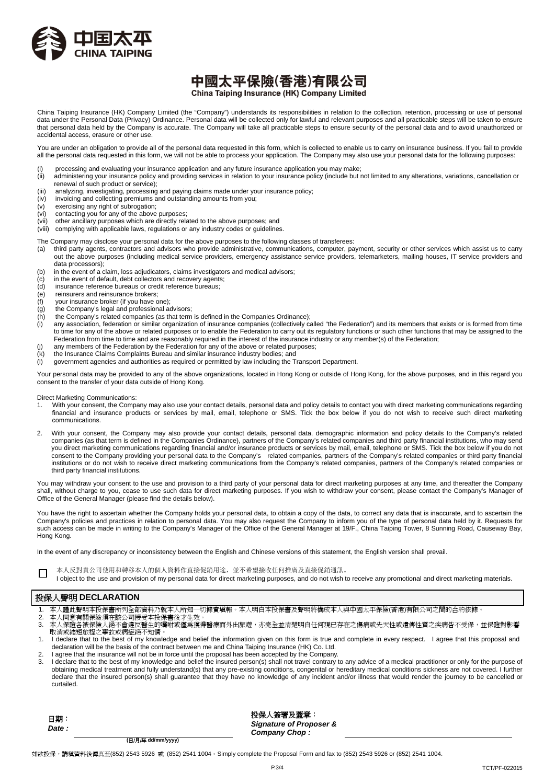

## 中國太平保險(香港)有限公司 China Taiping Insurance (HK) Company Limited

China Taiping Insurance (HK) Company Limited (the "Company") understands its responsibilities in relation to the collection, retention, processing or use of personal data under the Personal Data (Privacy) Ordinance. Personal data will be collected only for lawful and relevant purposes and all practicable steps will be taken to ensure that personal data held by the Company is accurate. The Company will take all practicable steps to ensure security of the personal data and to avoid unauthorized or accidental access, erasure or other use.

You are under an obligation to provide all of the personal data requested in this form, which is collected to enable us to carry on insurance business. If you fail to provide all the personal data requested in this form, we will not be able to process your application. The Company may also use your personal data for the following purposes:

- processing and evaluating your insurance application and any future insurance application you may make;
- (ii) administering your insurance policy and providing services in relation to your insurance policy (include but not limited to any alterations, variations, cancellation or
- renewal of such product or service);
- (iii) analyzing, investigating, processing and paying claims made under your insurance policy;<br>(iv) invoicing and collecting premiums and outstanding amounts from you; invoicing and collecting premiums and outstanding amounts from you;
- (v) exercising any right of subrogation;
- 
- (vi) contacting you for any of the above purposes;<br>(vii) other ancillary purposes which are directly related other ancillary purposes which are directly related to the above purposes; and
- (viii) complying with applicable laws, regulations or any industry codes or guidelines.
- The Company may disclose your personal data for the above purposes to the following classes of transferees:
- (a) third party agents, contractors and advisors who provide administrative, communications, computer, payment, security or other services which assist us to carry out the above purposes (including medical service providers, emergency assistance service providers, telemarketers, mailing houses, IT service providers and data processors);
- (b) in the event of a claim, loss adjudicators, claims investigators and medical advisors;<br>(c) in the event of default, debt collectors and recovery agents;
- in the event of default, debt collectors and recovery agents;
- (d) insurance reference bureaus or credit reference bureaus;
- (e) reinsurers and reinsurance brokers;<br>(f) vour insurance broker (if you have o
- your insurance broker (if you have one);
- (g) the Company's legal and professional advisors;
- $\frac{h}{h}$  the Company's related companies (as that term is defined in the Companies Ordinance);<br>(i) any association federation or similar organization of insurance companies (collectively ca
- any association, federation or similar organization of insurance companies (collectively called "the Federation") and its members that exists or is formed from time to time for any of the above or related purposes or to enable the Federation to carry out its regulatory functions or such other functions that may be assigned to the Federation from time to time and are reasonably required in the interest of the insurance industry or any member(s) of the Federation;
- (j) any members of the Federation by the Federation for any of the above or related purposes;
- (k) the Insurance Claims Complaints Bureau and similar insurance industry bodies; and (l) government agencies and authorities as required or permitted by law including the Transport Department.

Your personal data may be provided to any of the above organizations, located in Hong Kong or outside of Hong Kong, for the above purposes, and in this regard you consent to the transfer of your data outside of Hong Kong.

Direct Marketing Communications:

- 1. With your consent, the Company may also use your contact details, personal data and policy details to contact you with direct marketing communications regarding financial and insurance products or services by mail, email, telephone or SMS. Tick the box below if you do not wish to receive such direct marketing communications.
- 2. With your consent, the Company may also provide your contact details, personal data, demographic information and policy details to the Company's related companies (as that term is defined in the Companies Ordinance), partners of the Company's related companies and third party financial institutions, who may send you direct marketing communications regarding financial and/or insurance products or services by mail, email, telephone or SMS. Tick the box below if you do not consent to the Company providing your personal data to the Company's related companies, partners of the Company's related companies or third party financial institutions or do not wish to receive direct marketing communications from the Company's related companies, partners of the Company's related companies or third party financial institutions.

You may withdraw your consent to the use and provision to a third party of your personal data for direct marketing purposes at any time, and thereafter the Company shall, without charge to you, cease to use such data for direct marketing purposes. If you wish to withdraw your consent, please contact the Company's Manager of Office of the General Manager (please find the details below).

You have the right to ascertain whether the Company holds your personal data, to obtain a copy of the data, to correct any data that is inaccurate, and to ascertain the Company's policies and practices in relation to personal data. You may also request the Company to inform you of the type of personal data held by it. Requests for such access can be made in writing to the Company's Manager of the Office of the General Manager at 19/F., China Taiping Tower, 8 Sunning Road, Causeway Bay, Hong Kong.

In the event of any discrepancy or inconsistency between the English and Chinese versions of this statement, the English version shall prevail.

- □ 本人反對貴公司使用和轉移本人的個人資料作直接促銷用途,並不希望接收任何推廣及直接促銷通訊。
	- I object to the use and provision of my personal data for direct marketing purposes, and do not wish to receive any promotional and direct marketing materials.

### 投保人聲明 **DECLARATION**

- 1. 本人謹此聲明本投保書所列全部資料乃就本人所知一切據實填報。本人明白本投保書及聲明將構成本人與中國太平保險(香港)有限公司之間的合約依據。
- 2. 本人同意有關保險須在該公司接受本投保書後才生效。 3. 本人保證各被保險人絕不會違反醫生的囑咐或僅爲獲得醫療而外出旅遊,亦完全並清楚明白任何現已存在之傷病或先天性或遺傳性質之疾病皆不受保,並保證對影響 取消或縮短旅程之事故或病症絕不知情
- 1. I declare that to the best of my knowledge and belief the information given on this form is true and complete in every respect. I agree that this proposal and declaration will be the basis of the contract between me and China Taiping Insurance (HK) Co. Ltd.
- 2. I agree that the insurance will not be in force until the proposal has been accepted by the Company.
- 3. I declare that to the best of my knowledge and belief the insured person(s) shall not travel contrary to any advice of a medical practitioner or only for the purpose of obtaining medical treatment and fully understand(s) that any pre-existing conditions, congenital or hereditary medical conditions sickness are not covered. I further declare that the insured person(s) shall guarantee that they have no knowledge of any incident and/or illness that would render the journey to be cancelled or curtailed.

日期: *Date :* 投保人簽署及蓋章: *Signature of Proposer & Company Chop :* 

 **(**日/月/年 **dd/mm/yyyy)** 

如欲投保,請填資料後傳真至(852) 2543 5926 或 (852) 2541 1004。Simply complete the Proposal Form and fax to (852) 2543 5926 or (852) 2541 1004.